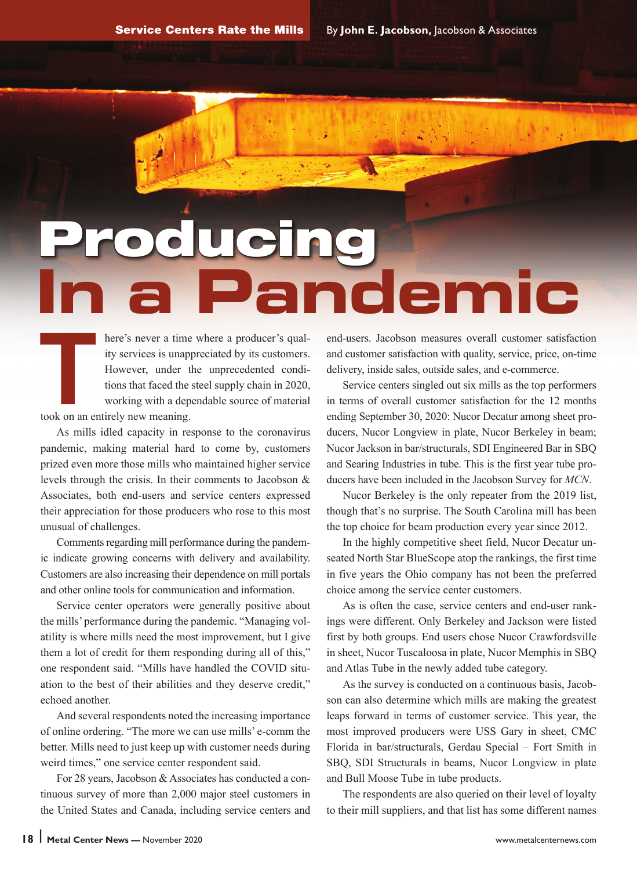# **Product Iemic**

here's never a time where a producer's qual-<br>ity services is unappreciated by its customers.<br>However, under the unprecedented condi-<br>tions that faced the steel supply chain in 2020,<br>working with a dependable source of mate ity services is unappreciated by its customers. However, under the unprecedented conditions that faced the steel supply chain in 2020, working with a dependable source of material took on an entirely new meaning.

As mills idled capacity in response to the coronavirus pandemic, making material hard to come by, customers prized even more those mills who maintained higher service levels through the crisis. In their comments to Jacobson & Associates, both end-users and service centers expressed their appreciation for those producers who rose to this most unusual of challenges.

Comments regarding mill performance during the pandemic indicate growing concerns with delivery and availability. Customers are also increasing their dependence on mill portals and other online tools for communication and information.

Service center operators were generally positive about the mills' performance during the pandemic. "Managing volatility is where mills need the most improvement, but I give them a lot of credit for them responding during all of this," one respondent said. "Mills have handled the COVID situation to the best of their abilities and they deserve credit," echoed another.

And several respondents noted the increasing importance of online ordering. "The more we can use mills' e-comm the better. Mills need to just keep up with customer needs during weird times," one service center respondent said.

For 28 years, Jacobson & Associates has conducted a continuous survey of more than 2,000 major steel customers in the United States and Canada, including service centers and end-users. Jacobson measures overall customer satisfaction and customer satisfaction with quality, service, price, on-time delivery, inside sales, outside sales, and e-commerce.

Service centers singled out six mills as the top performers in terms of overall customer satisfaction for the 12 months ending September 30, 2020: Nucor Decatur among sheet producers, Nucor Longview in plate, Nucor Berkeley in beam; Nucor Jackson in bar/structurals, SDI Engineered Bar in SBQ and Searing Industries in tube. This is the first year tube producers have been included in the Jacobson Survey for *MCN*.

Nucor Berkeley is the only repeater from the 2019 list, though that's no surprise. The South Carolina mill has been the top choice for beam production every year since 2012.

In the highly competitive sheet field, Nucor Decatur unseated North Star BlueScope atop the rankings, the first time in five years the Ohio company has not been the preferred choice among the service center customers.

As is often the case, service centers and end-user rankings were different. Only Berkeley and Jackson were listed first by both groups. End users chose Nucor Crawfordsville in sheet, Nucor Tuscaloosa in plate, Nucor Memphis in SBQ and Atlas Tube in the newly added tube category.

As the survey is conducted on a continuous basis, Jacobson can also determine which mills are making the greatest leaps forward in terms of customer service. This year, the most improved producers were USS Gary in sheet, CMC Florida in bar/structurals, Gerdau Special – Fort Smith in SBQ, SDI Structurals in beams, Nucor Longview in plate and Bull Moose Tube in tube products.

The respondents are also queried on their level of loyalty to their mill suppliers, and that list has some different names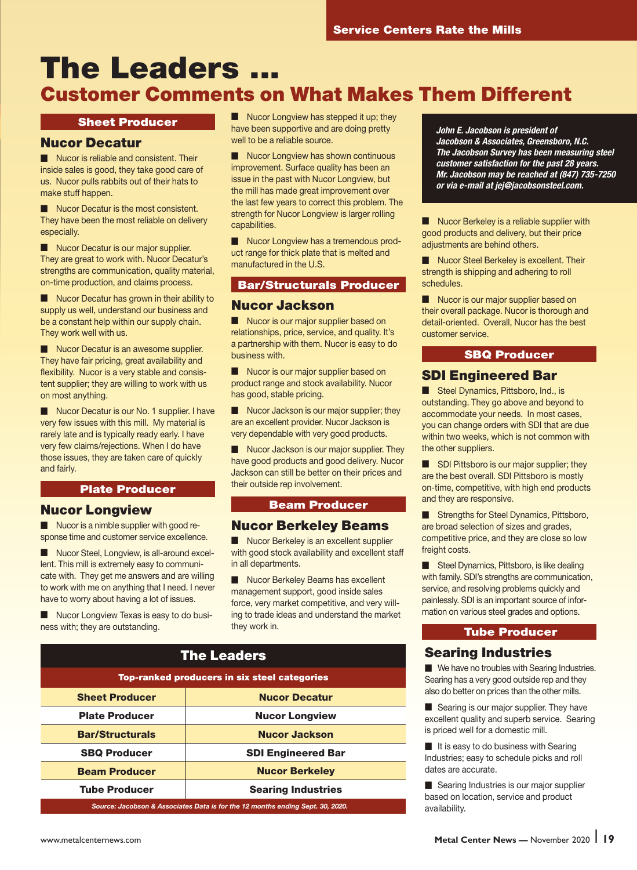## The Leaders ... Customer Comments on What Makes Them Different

#### Sheet Producer

#### Nucor Decatur

■ Nucor is reliable and consistent. Their inside sales is good, they take good care of us. Nucor pulls rabbits out of their hats to make stuff happen.

Nucor Decatur is the most consistent. They have been the most reliable on delivery especially.

■ Nucor Decatur is our major supplier. They are great to work with. Nucor Decatur's strengths are communication, quality material, on-time production, and claims process.

■ Nucor Decatur has grown in their ability to supply us well, understand our business and be a constant help within our supply chain. They work well with us.

■ Nucor Decatur is an awesome supplier. They have fair pricing, great availability and flexibility. Nucor is a very stable and consistent supplier; they are willing to work with us on most anything.

■ Nucor Decatur is our No. 1 supplier. I have very few issues with this mill. My material is rarely late and is typically ready early. I have very few claims/rejections. When I do have those issues, they are taken care of quickly and fairly.

#### Plate Producer

#### Nucor Longview

■ Nucor is a nimble supplier with good response time and customer service excellence.

Nucor Steel, Longview, is all-around excellent. This mill is extremely easy to communicate with. They get me answers and are willing to work with me on anything that I need. I never have to worry about having a lot of issues.

■ Nucor Longview Texas is easy to do business with; they are outstanding.

■ Nucor Longview has stepped it up; they have been supportive and are doing pretty well to be a reliable source.

■ Nucor Longview has shown continuous improvement. Surface quality has been an issue in the past with Nucor Longview, but the mill has made great improvement over the last few years to correct this problem. The strength for Nucor Longview is larger rolling capabilities.

■ Nucor Longview has a tremendous product range for thick plate that is melted and manufactured in the U.S.

#### Bar/Structurals Producer

#### Nucor Jackson

■ Nucor is our major supplier based on relationships, price, service, and quality. It's a partnership with them. Nucor is easy to do business with.

Nucor is our major supplier based on product range and stock availability. Nucor has good, stable pricing.

Nucor Jackson is our major supplier; they are an excellent provider. Nucor Jackson is very dependable with very good products.

■ Nucor Jackson is our major supplier. They have good products and good delivery. Nucor Jackson can still be better on their prices and their outside rep involvement.

#### Beam Producer

#### Nucor Berkeley Beams

■ Nucor Berkeley is an excellent supplier with good stock availability and excellent staff in all departments.

Nucor Berkeley Beams has excellent management support, good inside sales force, very market competitive, and very willing to trade ideas and understand the market they work in.

| <b>The Leaders</b>                                                             |                           |
|--------------------------------------------------------------------------------|---------------------------|
| <b>Top-ranked producers in six steel categories</b>                            |                           |
| <b>Sheet Producer</b>                                                          | <b>Nucor Decatur</b>      |
| <b>Plate Producer</b>                                                          | <b>Nucor Longview</b>     |
| <b>Bar/Structurals</b>                                                         | <b>Nucor Jackson</b>      |
| <b>SBQ Producer</b>                                                            | <b>SDI Engineered Bar</b> |
| <b>Beam Producer</b>                                                           | <b>Nucor Berkeley</b>     |
| <b>Tube Producer</b>                                                           | <b>Searing Industries</b> |
| Source: Jacobson & Associates Data is for the 12 months ending Sept. 30, 2020. |                           |

*John E. Jacobson is president of Jacobson & Associates, Greensboro, N.C. The Jacobson Survey has been measuring steel customer satisfaction for the past 28 years. Mr. Jacobson may be reached at (847) 735-7250 or via e-mail at jej@jacobsonsteel.com.*

Nucor Berkeley is a reliable supplier with good products and delivery, but their price adiustments are behind others.

Nucor Steel Berkeley is excellent. Their strength is shipping and adhering to roll schedules.

Nucor is our major supplier based on their overall package. Nucor is thorough and detail-oriented. Overall, Nucor has the best customer service.

#### SBQ Producer

#### SDI Engineered Bar

■ Steel Dynamics, Pittsboro, Ind., is outstanding. They go above and beyond to accommodate your needs. In most cases, you can change orders with SDI that are due within two weeks, which is not common with the other suppliers.

SDI Pittsboro is our major supplier; they are the best overall. SDI Pittsboro is mostly on-time, competitive, with high end products and they are responsive.

Strengths for Steel Dynamics, Pittsboro, are broad selection of sizes and grades, competitive price, and they are close so low freight costs.

Steel Dynamics, Pittsboro, is like dealing with family. SDI's strengths are communication, service, and resolving problems quickly and painlessly. SDI is an important source of information on various steel grades and options.

#### Tube Producer

#### Searing Industries

■ We have no troubles with Searing Industries. Searing has a very good outside rep and they also do better on prices than the other mills.

■ Searing is our major supplier. They have excellent quality and superb service. Searing is priced well for a domestic mill.

■ It is easy to do business with Searing Industries; easy to schedule picks and roll dates are accurate.

■ Searing Industries is our major supplier based on location, service and product availability.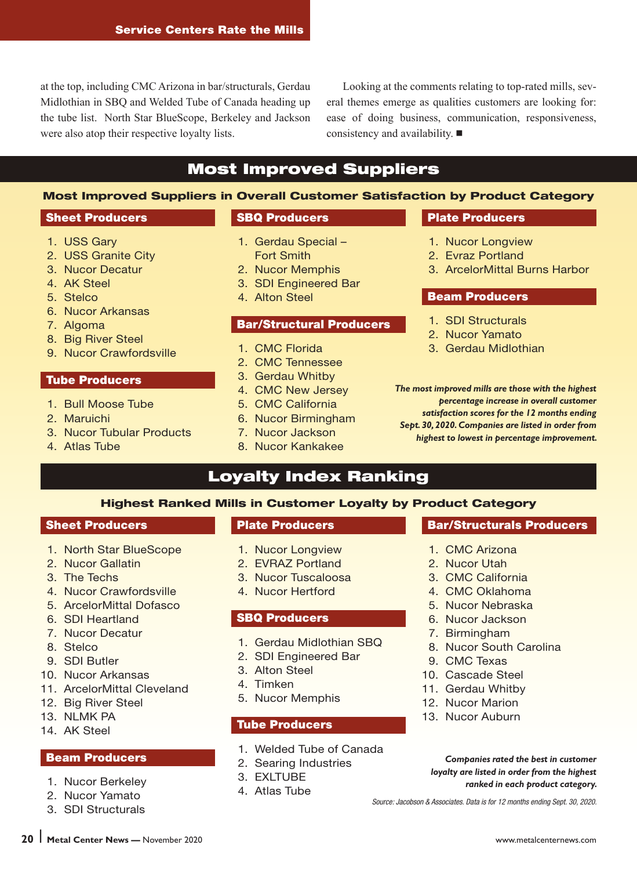at the top, including CMC Arizona in bar/structurals, Gerdau Midlothian in SBQ and Welded Tube of Canada heading up the tube list. North Star BlueScope, Berkeley and Jackson were also atop their respective loyalty lists.

Looking at the comments relating to top-rated mills, several themes emerge as qualities customers are looking for: ease of doing business, communication, responsiveness, consistency and availability. ■

#### Most Improved Suppliers

#### Most Improved Suppliers in Overall Customer Satisfaction by Product Category

#### Sheet Producers

6. Nucor Arkansas

 8. Big River Steel 9. Nucor Crawfordsville

Tube Producers

1. Bull Moose Tube

3. Nucor Tubular Products

 1. USS Gary 2. USS Granite City 3. Nucor Decatur 4. AK Steel 5. Stelco

7. Algoma

2. Maruichi

4. Atlas Tube

#### SBQ Producers

- 1. Gerdau Special
	- Fort Smith 2. Nucor Memphis
	-
	- 3. SDI Engineered Bar
	-

#### Bar/Structural Producers

- 
- 
- 3. Gerdau Whitby
- 4. CMC New Jersey
- 
- 6. Nucor Birmingham
- 7. Nucor Jackson
- 8. Nucor Kankakee

#### Loyalty Index Ranking

#### Highest Ranked Mills in Customer Loyalty by Product Category

#### Sheet Producers

- 1. North Star BlueScope
- 2. Nucor Gallatin
- 3. The Techs
- 4. Nucor Crawfordsville
- 5. ArcelorMittal Dofasco
- 6. SDI Heartland
- 7. Nucor Decatur
- 8. Stelco
- 9. SDI Butler
- 10. Nucor Arkansas
- 11. ArcelorMittal Cleveland
- 12. Big River Steel
- 13. NLMK PA
- 14. AK Steel

#### Beam Producers

- 1. Nucor Berkeley
- 2. Nucor Yamato
- 3. SDI Structurals

#### Plate Producers

- 1. Nucor Longview
- 2. EVRAZ Portland
- 3. Nucor Tuscaloosa
- 4. Nucor Hertford

#### SBQ Producers

- 1. Gerdau Midlothian SBQ
- 2. SDI Engineered Bar
- 3. Alton Steel
- 4. Timken
- 5. Nucor Memphis

#### Tube Producers

- 1. Welded Tube of Canada
- 2. Searing Industries
- 3. EXLTUBE
- 4. Atlas Tube

#### Plate Producers

- 1. Nucor Longview
- 2. Evraz Portland
- 3. ArcelorMittal Burns Harbor

#### Beam Producers

- 1. SDI Structurals
- 2. Nucor Yamato
- 3. Gerdau Midlothian

*The most improved mills are those with the highest percentage increase in overall customer satisfaction scores for the 12 months ending Sept. 30, 2020. Companies are listed in order from highest to lowest in percentage improvement.*

- Bar/Structurals Producers
- 1. CMC Arizona
- 2. Nucor Utah
- 3. CMC California
- 4. CMC Oklahoma
- 5. Nucor Nebraska
- 6. Nucor Jackson
- 7. Birmingham
- 8. Nucor South Carolina
- 9. CMC Texas
- 10. Cascade Steel
- 11. Gerdau Whitby
- 12. Nucor Marion
- 13. Nucor Auburn

*Companies rated the best in customer loyalty are listed in order from the highest ranked in each product category.*

*Source: Jacobson & Associates. Data is for 12 months ending Sept. 30, 2020.*

- 
- 4. Alton Steel

- 1. CMC Florida
- 2. CMC Tennessee
- 
- 
- 5. CMC California